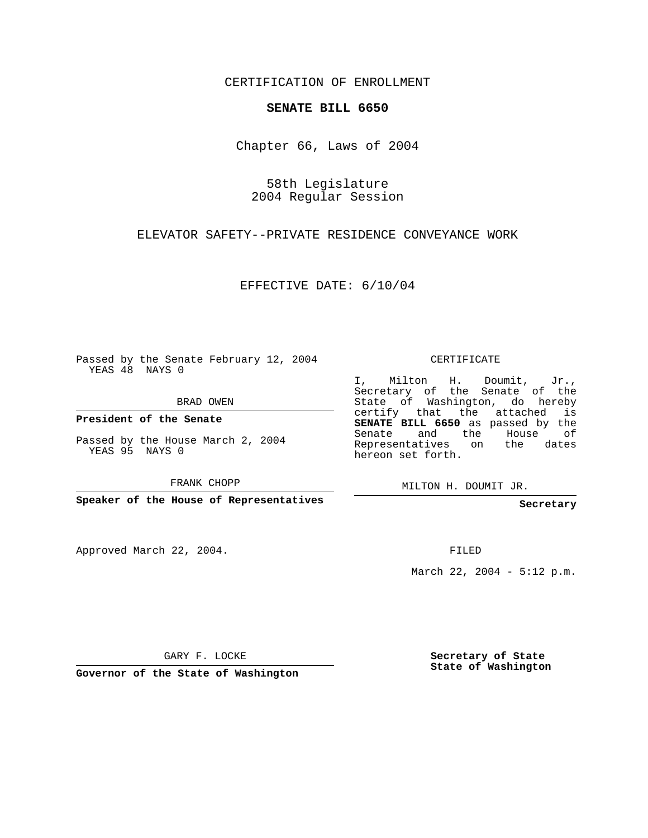CERTIFICATION OF ENROLLMENT

## **SENATE BILL 6650**

Chapter 66, Laws of 2004

58th Legislature 2004 Regular Session

ELEVATOR SAFETY--PRIVATE RESIDENCE CONVEYANCE WORK

EFFECTIVE DATE: 6/10/04

Passed by the Senate February 12, 2004 YEAS 48 NAYS 0

BRAD OWEN

**President of the Senate**

Passed by the House March 2, 2004 YEAS 95 NAYS 0

FRANK CHOPP

**Speaker of the House of Representatives**

Approved March 22, 2004.

CERTIFICATE

I, Milton H. Doumit, Jr., Secretary of the Senate of the State of Washington, do hereby certify that the attached is **SENATE BILL 6650** as passed by the Senate and the House of Representatives on the dates hereon set forth.

MILTON H. DOUMIT JR.

**Secretary**

FILED

March 22, 2004 - 5:12 p.m.

GARY F. LOCKE

**Governor of the State of Washington**

**Secretary of State State of Washington**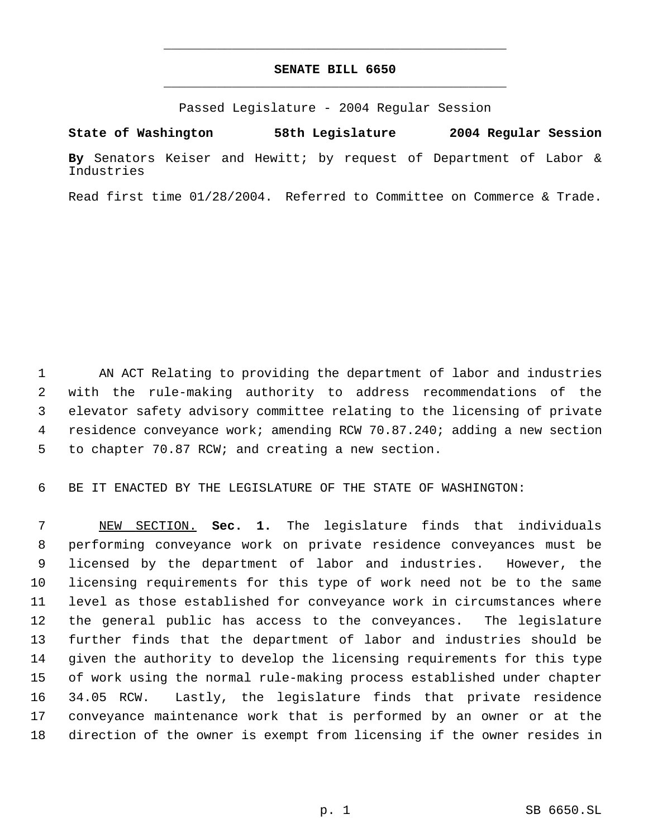## **SENATE BILL 6650** \_\_\_\_\_\_\_\_\_\_\_\_\_\_\_\_\_\_\_\_\_\_\_\_\_\_\_\_\_\_\_\_\_\_\_\_\_\_\_\_\_\_\_\_\_

\_\_\_\_\_\_\_\_\_\_\_\_\_\_\_\_\_\_\_\_\_\_\_\_\_\_\_\_\_\_\_\_\_\_\_\_\_\_\_\_\_\_\_\_\_

Passed Legislature - 2004 Regular Session

**State of Washington 58th Legislature 2004 Regular Session**

**By** Senators Keiser and Hewitt; by request of Department of Labor & Industries

Read first time 01/28/2004. Referred to Committee on Commerce & Trade.

 AN ACT Relating to providing the department of labor and industries with the rule-making authority to address recommendations of the elevator safety advisory committee relating to the licensing of private residence conveyance work; amending RCW 70.87.240; adding a new section to chapter 70.87 RCW; and creating a new section.

BE IT ENACTED BY THE LEGISLATURE OF THE STATE OF WASHINGTON:

 NEW SECTION. **Sec. 1.** The legislature finds that individuals performing conveyance work on private residence conveyances must be licensed by the department of labor and industries. However, the licensing requirements for this type of work need not be to the same level as those established for conveyance work in circumstances where the general public has access to the conveyances. The legislature further finds that the department of labor and industries should be given the authority to develop the licensing requirements for this type of work using the normal rule-making process established under chapter 34.05 RCW. Lastly, the legislature finds that private residence conveyance maintenance work that is performed by an owner or at the direction of the owner is exempt from licensing if the owner resides in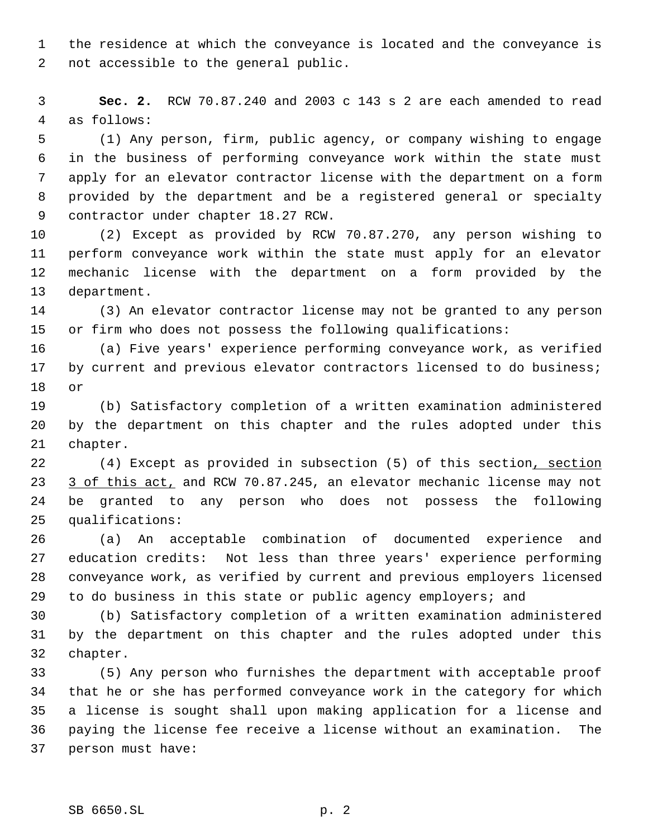the residence at which the conveyance is located and the conveyance is not accessible to the general public.

 **Sec. 2.** RCW 70.87.240 and 2003 c 143 s 2 are each amended to read as follows:

 (1) Any person, firm, public agency, or company wishing to engage in the business of performing conveyance work within the state must apply for an elevator contractor license with the department on a form provided by the department and be a registered general or specialty contractor under chapter 18.27 RCW.

 (2) Except as provided by RCW 70.87.270, any person wishing to perform conveyance work within the state must apply for an elevator mechanic license with the department on a form provided by the department.

 (3) An elevator contractor license may not be granted to any person or firm who does not possess the following qualifications:

 (a) Five years' experience performing conveyance work, as verified 17 by current and previous elevator contractors licensed to do business; or

 (b) Satisfactory completion of a written examination administered by the department on this chapter and the rules adopted under this chapter.

22 (4) Except as provided in subsection (5) of this section, section 23 3 of this act, and RCW 70.87.245, an elevator mechanic license may not be granted to any person who does not possess the following qualifications:

 (a) An acceptable combination of documented experience and education credits: Not less than three years' experience performing conveyance work, as verified by current and previous employers licensed to do business in this state or public agency employers; and

 (b) Satisfactory completion of a written examination administered by the department on this chapter and the rules adopted under this chapter.

 (5) Any person who furnishes the department with acceptable proof that he or she has performed conveyance work in the category for which a license is sought shall upon making application for a license and paying the license fee receive a license without an examination. The person must have: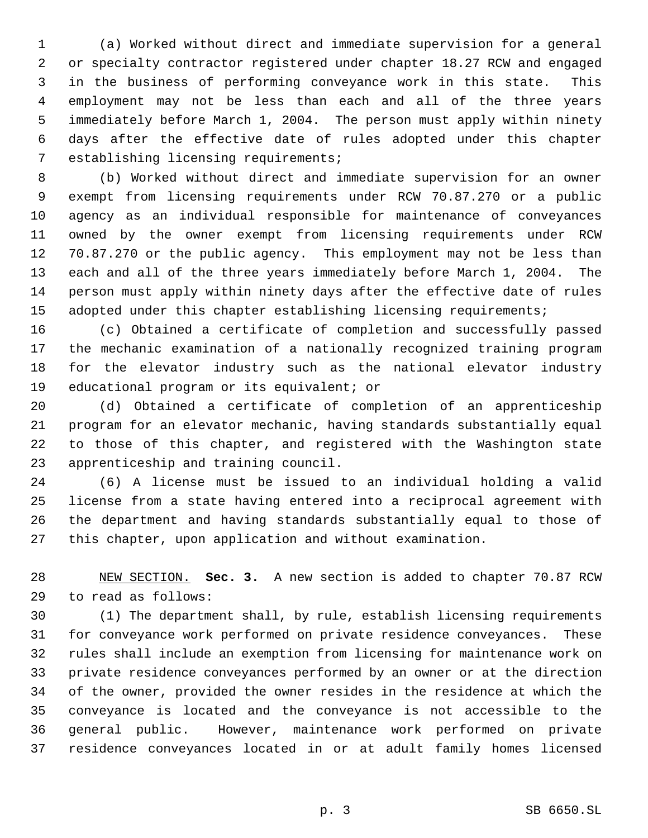(a) Worked without direct and immediate supervision for a general or specialty contractor registered under chapter 18.27 RCW and engaged in the business of performing conveyance work in this state. This employment may not be less than each and all of the three years immediately before March 1, 2004. The person must apply within ninety days after the effective date of rules adopted under this chapter establishing licensing requirements;

 (b) Worked without direct and immediate supervision for an owner exempt from licensing requirements under RCW 70.87.270 or a public agency as an individual responsible for maintenance of conveyances owned by the owner exempt from licensing requirements under RCW 70.87.270 or the public agency. This employment may not be less than each and all of the three years immediately before March 1, 2004. The person must apply within ninety days after the effective date of rules 15 adopted under this chapter establishing licensing requirements;

 (c) Obtained a certificate of completion and successfully passed the mechanic examination of a nationally recognized training program for the elevator industry such as the national elevator industry educational program or its equivalent; or

 (d) Obtained a certificate of completion of an apprenticeship program for an elevator mechanic, having standards substantially equal to those of this chapter, and registered with the Washington state apprenticeship and training council.

 (6) A license must be issued to an individual holding a valid license from a state having entered into a reciprocal agreement with the department and having standards substantially equal to those of this chapter, upon application and without examination.

 NEW SECTION. **Sec. 3.** A new section is added to chapter 70.87 RCW to read as follows:

 (1) The department shall, by rule, establish licensing requirements for conveyance work performed on private residence conveyances. These rules shall include an exemption from licensing for maintenance work on private residence conveyances performed by an owner or at the direction of the owner, provided the owner resides in the residence at which the conveyance is located and the conveyance is not accessible to the general public. However, maintenance work performed on private residence conveyances located in or at adult family homes licensed